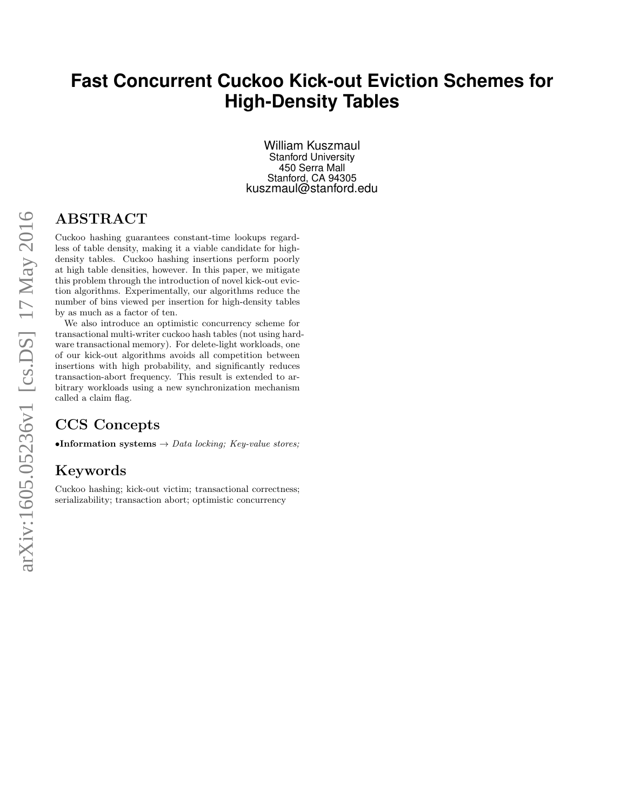# **Fast Concurrent Cuckoo Kick-out Eviction Schemes for High-Density Tables**

William Kuszmaul Stanford University 450 Serra Mall Stanford, CA 94305 kuszmaul@stanford.edu

# ABSTRACT

Cuckoo hashing guarantees constant-time lookups regardless of table density, making it a viable candidate for highdensity tables. Cuckoo hashing insertions perform poorly at high table densities, however. In this paper, we mitigate this problem through the introduction of novel kick-out eviction algorithms. Experimentally, our algorithms reduce the number of bins viewed per insertion for high-density tables by as much as a factor of ten.

We also introduce an optimistic concurrency scheme for transactional multi-writer cuckoo hash tables (not using hardware transactional memory). For delete-light workloads, one of our kick-out algorithms avoids all competition between insertions with high probability, and significantly reduces transaction-abort frequency. This result is extended to arbitrary workloads using a new synchronization mechanism called a claim flag.

# CCS Concepts

•Information systems  $\rightarrow$  Data locking; Key-value stores;

# Keywords

Cuckoo hashing; kick-out victim; transactional correctness; serializability; transaction abort; optimistic concurrency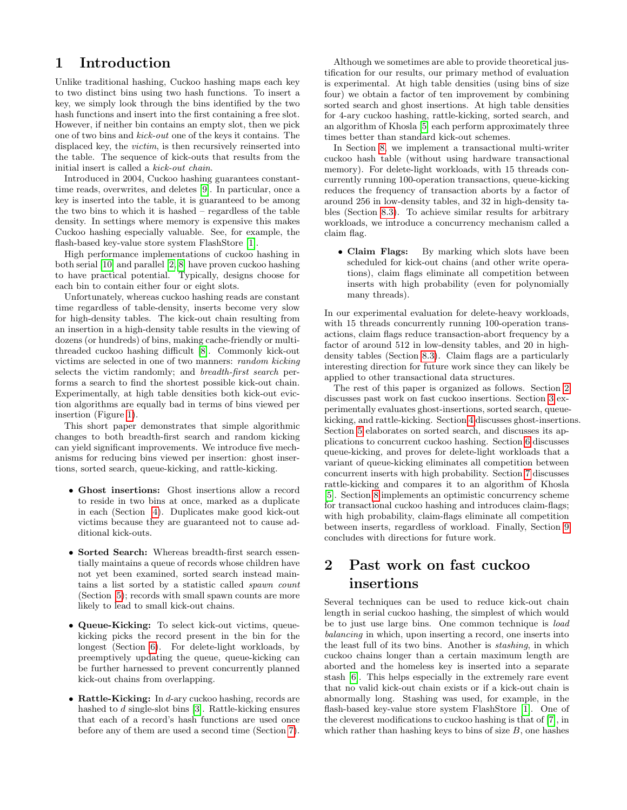# 1 Introduction

Unlike traditional hashing, Cuckoo hashing maps each key to two distinct bins using two hash functions. To insert a key, we simply look through the bins identified by the two hash functions and insert into the first containing a free slot. However, if neither bin contains an empty slot, then we pick one of two bins and kick-out one of the keys it contains. The displaced key, the *victim*, is then recursively reinserted into the table. The sequence of kick-outs that results from the initial insert is called a kick-out chain.

Introduced in 2004, Cuckoo hashing guarantees constanttime reads, overwrites, and deletes [\[9\]](#page-7-0). In particular, once a key is inserted into the table, it is guaranteed to be among the two bins to which it is hashed – regardless of the table density. In settings where memory is expensive this makes Cuckoo hashing especially valuable. See, for example, the flash-based key-value store system FlashStore [\[1\]](#page-7-1).

High performance implementations of cuckoo hashing in both serial [\[10\]](#page-7-2) and parallel [\[2,](#page-7-3) [8\]](#page-7-4) have proven cuckoo hashing to have practical potential. Typically, designs choose for each bin to contain either four or eight slots.

Unfortunately, whereas cuckoo hashing reads are constant time regardless of table-density, inserts become very slow for high-density tables. The kick-out chain resulting from an insertion in a high-density table results in the viewing of dozens (or hundreds) of bins, making cache-friendly or multithreaded cuckoo hashing difficult [\[8\]](#page-7-4). Commonly kick-out victims are selected in one of two manners: random kicking selects the victim randomly; and breadth-first search performs a search to find the shortest possible kick-out chain. Experimentally, at high table densities both kick-out eviction algorithms are equally bad in terms of bins viewed per insertion (Figure [1\)](#page-8-0).

This short paper demonstrates that simple algorithmic changes to both breadth-first search and random kicking can yield significant improvements. We introduce five mechanisms for reducing bins viewed per insertion: ghost insertions, sorted search, queue-kicking, and rattle-kicking.

- Ghost insertions: Ghost insertions allow a record to reside in two bins at once, marked as a duplicate in each (Section [4\)](#page-2-0). Duplicates make good kick-out victims because they are guaranteed not to cause additional kick-outs.
- Sorted Search: Whereas breadth-first search essentially maintains a queue of records whose children have not yet been examined, sorted search instead maintains a list sorted by a statistic called spawn count (Section [5\)](#page-2-1); records with small spawn counts are more likely to lead to small kick-out chains.
- Queue-Kicking: To select kick-out victims, queuekicking picks the record present in the bin for the longest (Section [6\)](#page-3-0). For delete-light workloads, by preemptively updating the queue, queue-kicking can be further harnessed to prevent concurrently planned kick-out chains from overlapping.
- Rattle-Kicking: In  $d$ -ary cuckoo hashing, records are hashed to d single-slot bins [\[3\]](#page-7-5). Rattle-kicking ensures that each of a record's hash functions are used once before any of them are used a second time (Section [7\)](#page-4-0).

Although we sometimes are able to provide theoretical justification for our results, our primary method of evaluation is experimental. At high table densities (using bins of size four) we obtain a factor of ten improvement by combining sorted search and ghost insertions. At high table densities for 4-ary cuckoo hashing, rattle-kicking, sorted search, and an algorithm of Khosla [\[5\]](#page-7-6) each perform approximately three times better than standard kick-out schemes.

In Section [8,](#page-5-0) we implement a transactional multi-writer cuckoo hash table (without using hardware transactional memory). For delete-light workloads, with 15 threads concurrently running 100-operation transactions, queue-kicking reduces the frequency of transaction aborts by a factor of around 256 in low-density tables, and 32 in high-density tables (Section [8.3\)](#page-6-0). To achieve similar results for arbitrary workloads, we introduce a concurrency mechanism called a claim flag.

• Claim Flags: By marking which slots have been scheduled for kick-out chains (and other write operations), claim flags eliminate all competition between inserts with high probability (even for polynomially many threads).

In our experimental evaluation for delete-heavy workloads, with 15 threads concurrently running 100-operation transactions, claim flags reduce transaction-abort frequency by a factor of around 512 in low-density tables, and 20 in highdensity tables (Section [8.3\)](#page-6-0). Claim flags are a particularly interesting direction for future work since they can likely be applied to other transactional data structures.

The rest of this paper is organized as follows. Section [2](#page-1-0) discusses past work on fast cuckoo insertions. Section [3](#page-2-2) experimentally evaluates ghost-insertions, sorted search, queuekicking, and rattle-kicking. Section [4](#page-2-0) discusses ghost-insertions. Section [5](#page-2-1) elaborates on sorted search, and discusses its applications to concurrent cuckoo hashing. Section [6](#page-3-0) discusses queue-kicking, and proves for delete-light workloads that a variant of queue-kicking eliminates all competition between concurrent inserts with high probability. Section [7](#page-4-0) discusses rattle-kicking and compares it to an algorithm of Khosla [\[5\]](#page-7-6). Section [8](#page-5-0) implements an optimistic concurrency scheme for transactional cuckoo hashing and introduces claim-flags; with high probability, claim-flags eliminate all competition between inserts, regardless of workload. Finally, Section [9](#page-7-7) concludes with directions for future work.

# <span id="page-1-0"></span>2 Past work on fast cuckoo insertions

Several techniques can be used to reduce kick-out chain length in serial cuckoo hashing, the simplest of which would be to just use large bins. One common technique is load balancing in which, upon inserting a record, one inserts into the least full of its two bins. Another is stashing, in which cuckoo chains longer than a certain maximum length are aborted and the homeless key is inserted into a separate stash [\[6\]](#page-7-8). This helps especially in the extremely rare event that no valid kick-out chain exists or if a kick-out chain is abnormally long. Stashing was used, for example, in the flash-based key-value store system FlashStore [\[1\]](#page-7-1). One of the cleverest modifications to cuckoo hashing is that of [\[7\]](#page-7-9), in which rather than hashing keys to bins of size  $B$ , one hashes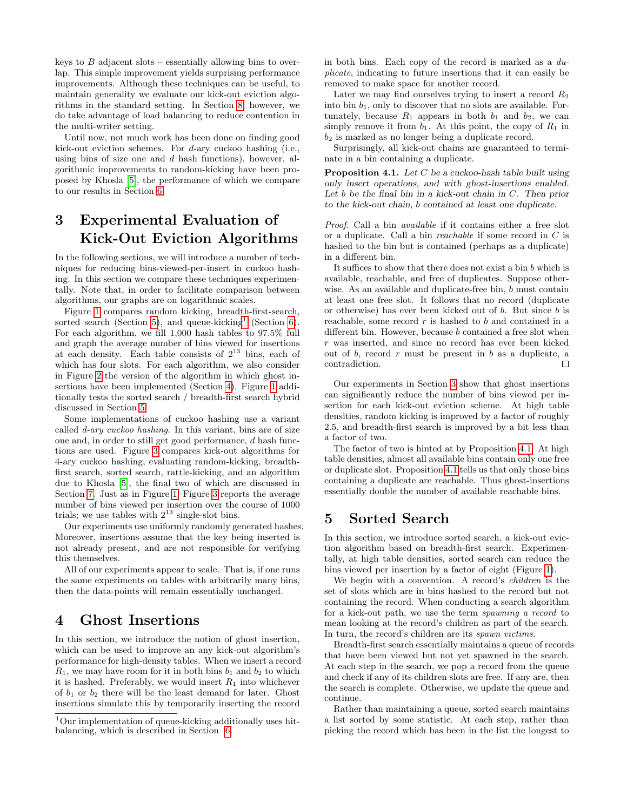keys to  $B$  adjacent slots – essentially allowing bins to overlap. This simple improvement yields surprising performance improvements. Although these techniques can be useful, to maintain generality we evaluate our kick-out eviction algorithms in the standard setting. In Section [8,](#page-5-0) however, we do take advantage of load balancing to reduce contention in the multi-writer setting.

Until now, not much work has been done on finding good kick-out eviction schemes. For d-ary cuckoo hashing (i.e., using bins of size one and  $d$  hash functions), however, algorithmic improvements to random-kicking have been proposed by Khosla [\[5\]](#page-7-6), the performance of which we compare to our results in Section [6.](#page-3-0)

# <span id="page-2-2"></span>3 Experimental Evaluation of Kick-Out Eviction Algorithms

In the following sections, we will introduce a number of techniques for reducing bins-viewed-per-insert in cuckoo hashing. In this section we compare these techniques experimentally. Note that, in order to facilitate comparison between algorithms, our graphs are on logarithmic scales.

Figure [1](#page-8-0) compares random kicking, breadth-first-search, sorted search (Section [5\)](#page-2-1), and queue-kicking<sup>[1](#page-2-3)</sup> (Section [6\)](#page-3-0). For each algorithm, we fill 1,000 hash tables to 97.5% full and graph the average number of bins viewed for insertions at each density. Each table consists of  $2^{13}$  bins, each of which has four slots. For each algorithm, we also consider in Figure [2](#page-8-1) the version of the algorithm in which ghost insertions have been implemented (Section [4\)](#page-2-0). Figure [1](#page-8-0) additionally tests the sorted search / breadth-first search hybrid discussed in Section [5.](#page-2-1)

Some implementations of cuckoo hashing use a variant called d-ary cuckoo hashing. In this variant, bins are of size one and, in order to still get good performance, d hash functions are used. Figure [3](#page-8-2) compares kick-out algorithms for 4-ary cuckoo hashing, evaluating random-kicking, breadthfirst search, sorted search, rattle-kicking, and an algorithm due to Khosla [\[5\]](#page-7-6), the final two of which are discussed in Section [7.](#page-4-0) Just as in Figure [1,](#page-8-0) Figure [3](#page-8-2) reports the average number of bins viewed per insertion over the course of 1000 trials; we use tables with  $2^{13}$  single-slot bins.

Our experiments use uniformly randomly generated hashes. Moreover, insertions assume that the key being inserted is not already present, and are not responsible for verifying this themselves.

All of our experiments appear to scale. That is, if one runs the same experiments on tables with arbitrarily many bins, then the data-points will remain essentially unchanged.

## <span id="page-2-0"></span>4 Ghost Insertions

In this section, we introduce the notion of ghost insertion, which can be used to improve an any kick-out algorithm's performance for high-density tables. When we insert a record  $R_1$ , we may have room for it in both bins  $b_1$  and  $b_2$  to which it is hashed. Preferably, we would insert  $R_1$  into whichever of  $b_1$  or  $b_2$  there will be the least demand for later. Ghost insertions simulate this by temporarily inserting the record

in both bins. Each copy of the record is marked as a duplicate, indicating to future insertions that it can easily be removed to make space for another record.

Later we may find ourselves trying to insert a record  $R_2$ into bin  $b_1$ , only to discover that no slots are available. Fortunately, because  $R_1$  appears in both  $b_1$  and  $b_2$ , we can simply remove it from  $b_1$ . At this point, the copy of  $R_1$  in  $b_2$  is marked as no longer being a duplicate record.

Surprisingly, all kick-out chains are guaranteed to terminate in a bin containing a duplicate.

<span id="page-2-4"></span>**Proposition 4.1.** Let  $C$  be a cuckoo-hash table built using only insert operations, and with ghost-insertions enabled. Let  $b$  be the final bin in a kick-out chain in  $C$ . Then prior to the kick-out chain, b contained at least one duplicate.

Proof. Call a bin available if it contains either a free slot or a duplicate. Call a bin reachable if some record in C is hashed to the bin but is contained (perhaps as a duplicate) in a different bin.

It suffices to show that there does not exist a bin b which is available, reachable, and free of duplicates. Suppose otherwise. As an available and duplicate-free bin, b must contain at least one free slot. It follows that no record (duplicate or otherwise) has ever been kicked out of b. But since b is reachable, some record  $r$  is hashed to  $b$  and contained in a different bin. However, because *b* contained a free slot when r was inserted, and since no record has ever been kicked out of  $b$ , record  $r$  must be present in  $b$  as a duplicate, a contradiction.  $\Box$ 

Our experiments in Section [3](#page-2-2) show that ghost insertions can significantly reduce the number of bins viewed per insertion for each kick-out eviction scheme. At high table densities, random kicking is improved by a factor of roughly 2.5, and breadth-first search is improved by a bit less than a factor of two.

The factor of two is hinted at by Proposition [4.1.](#page-2-4) At high table densities, almost all available bins contain only one free or duplicate slot. Proposition [4.1](#page-2-4) tells us that only those bins containing a duplicate are reachable. Thus ghost-insertions essentially double the number of available reachable bins.

#### <span id="page-2-1"></span>5 Sorted Search

In this section, we introduce sorted search, a kick-out eviction algorithm based on breadth-first search. Experimentally, at high table densities, sorted search can reduce the bins viewed per insertion by a factor of eight (Figure [1\)](#page-8-0).

We begin with a convention. A record's children is the set of slots which are in bins hashed to the record but not containing the record. When conducting a search algorithm for a kick-out path, we use the term spawning a record to mean looking at the record's children as part of the search. In turn, the record's children are its spawn victims.

Breadth-first search essentially maintains a queue of records that have been viewed but not yet spawned in the search. At each step in the search, we pop a record from the queue and check if any of its children slots are free. If any are, then the search is complete. Otherwise, we update the queue and continue.

Rather than maintaining a queue, sorted search maintains a list sorted by some statistic. At each step, rather than picking the record which has been in the list the longest to

<span id="page-2-3"></span> $1$ Our implementation of queue-kicking additionally uses hitbalancing, which is described in Section [6.](#page-3-0)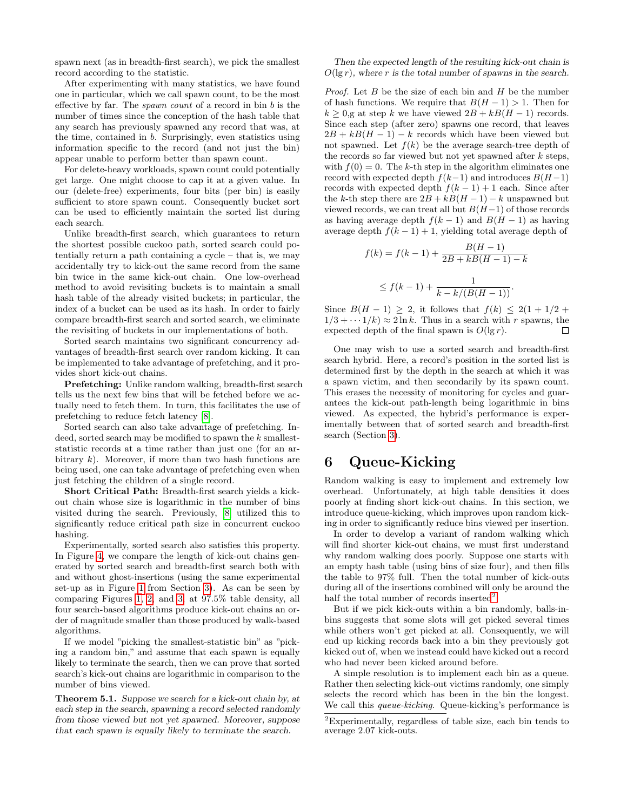spawn next (as in breadth-first search), we pick the smallest record according to the statistic.

After experimenting with many statistics, we have found one in particular, which we call spawn count, to be the most effective by far. The *spawn count* of a record in bin  $b$  is the number of times since the conception of the hash table that any search has previously spawned any record that was, at the time, contained in b. Surprisingly, even statistics using information specific to the record (and not just the bin) appear unable to perform better than spawn count.

For delete-heavy workloads, spawn count could potentially get large. One might choose to cap it at a given value. In our (delete-free) experiments, four bits (per bin) is easily sufficient to store spawn count. Consequently bucket sort can be used to efficiently maintain the sorted list during each search.

Unlike breadth-first search, which guarantees to return the shortest possible cuckoo path, sorted search could potentially return a path containing a cycle – that is, we may accidentally try to kick-out the same record from the same bin twice in the same kick-out chain. One low-overhead method to avoid revisiting buckets is to maintain a small hash table of the already visited buckets; in particular, the index of a bucket can be used as its hash. In order to fairly compare breadth-first search and sorted search, we eliminate the revisiting of buckets in our implementations of both.

Sorted search maintains two significant concurrency advantages of breadth-first search over random kicking. It can be implemented to take advantage of prefetching, and it provides short kick-out chains.

Prefetching: Unlike random walking, breadth-first search tells us the next few bins that will be fetched before we actually need to fetch them. In turn, this facilitates the use of prefetching to reduce fetch latency [\[8\]](#page-7-4).

Sorted search can also take advantage of prefetching. Indeed, sorted search may be modified to spawn the  $k$  smalleststatistic records at a time rather than just one (for an arbitrary  $k$ ). Moreover, if more than two hash functions are being used, one can take advantage of prefetching even when just fetching the children of a single record.

Short Critical Path: Breadth-first search yields a kickout chain whose size is logarithmic in the number of bins visited during the search. Previously, [\[8\]](#page-7-4) utilized this to significantly reduce critical path size in concurrent cuckoo hashing.

Experimentally, sorted search also satisfies this property. In Figure [4,](#page-8-3) we compare the length of kick-out chains generated by sorted search and breadth-first search both with and without ghost-insertions (using the same experimental set-up as in Figure [1](#page-8-0) from Section [3\)](#page-2-2). As can be seen by comparing Figures [1,](#page-8-0) [2,](#page-8-1) and [3,](#page-8-2) at 97.5% table density, all four search-based algorithms produce kick-out chains an order of magnitude smaller than those produced by walk-based algorithms.

If we model "picking the smallest-statistic bin" as "picking a random bin," and assume that each spawn is equally likely to terminate the search, then we can prove that sorted search's kick-out chains are logarithmic in comparison to the number of bins viewed.

Theorem 5.1. Suppose we search for a kick-out chain by, at each step in the search, spawning a record selected randomly from those viewed but not yet spawned. Moreover, suppose that each spawn is equally likely to terminate the search.

#### Then the expected length of the resulting kick-out chain is  $O(\lg r)$ , where r is the total number of spawns in the search.

*Proof.* Let  $B$  be the size of each bin and  $H$  be the number of hash functions. We require that  $B(H-1) > 1$ . Then for  $k \geq 0$ ,g at step k we have viewed  $2B + kB(H - 1)$  records. Since each step (after zero) spawns one record, that leaves  $2B + kB(H - 1) - k$  records which have been viewed but not spawned. Let  $f(k)$  be the average search-tree depth of the records so far viewed but not yet spawned after  $k$  steps, with  $f(0) = 0$ . The k-th step in the algorithm eliminates one record with expected depth  $f(k-1)$  and introduces  $B(H-1)$ records with expected depth  $f(k-1) + 1$  each. Since after the k-th step there are  $2B + kB(H-1) - k$  unspawned but viewed records, we can treat all but  $B(H-1)$  of those records as having average depth  $f(k-1)$  and  $B(H-1)$  as having average depth  $f(k-1) + 1$ , yielding total average depth of

$$
f(k) = f(k-1) + \frac{B(H-1)}{2B + kB(H-1) - k}
$$
  
 
$$
\leq f(k-1) + \frac{1}{k - k/(B(H-1))}.
$$

Since  $B(H-1) \geq 2$ , it follows that  $f(k) \leq 2(1+1/2+1)$  $1/3 + \cdots 1/k \approx 2 \ln k$ . Thus in a search with r spawns, the expected depth of the final spawn is  $O(\lg r)$ .  $\Box$ 

One may wish to use a sorted search and breadth-first search hybrid. Here, a record's position in the sorted list is determined first by the depth in the search at which it was a spawn victim, and then secondarily by its spawn count. This erases the necessity of monitoring for cycles and guarantees the kick-out path-length being logarithmic in bins viewed. As expected, the hybrid's performance is experimentally between that of sorted search and breadth-first search (Section [3\)](#page-2-2).

# <span id="page-3-0"></span>6 Queue-Kicking

Random walking is easy to implement and extremely low overhead. Unfortunately, at high table densities it does poorly at finding short kick-out chains. In this section, we introduce queue-kicking, which improves upon random kicking in order to significantly reduce bins viewed per insertion.

In order to develop a variant of random walking which will find shorter kick-out chains, we must first understand why random walking does poorly. Suppose one starts with an empty hash table (using bins of size four), and then fills the table to 97% full. Then the total number of kick-outs during all of the insertions combined will only be around the half the total number of records inserted<sup>[2](#page-3-1)</sup>

But if we pick kick-outs within a bin randomly, balls-inbins suggests that some slots will get picked several times while others won't get picked at all. Consequently, we will end up kicking records back into a bin they previously got kicked out of, when we instead could have kicked out a record who had never been kicked around before.

A simple resolution is to implement each bin as a queue. Rather then selecting kick-out victims randomly, one simply selects the record which has been in the bin the longest. We call this *queue-kicking*. Queue-kicking's performance is

<span id="page-3-1"></span> ${}^{2}$ Experimentally, regardless of table size, each bin tends to average 2.07 kick-outs.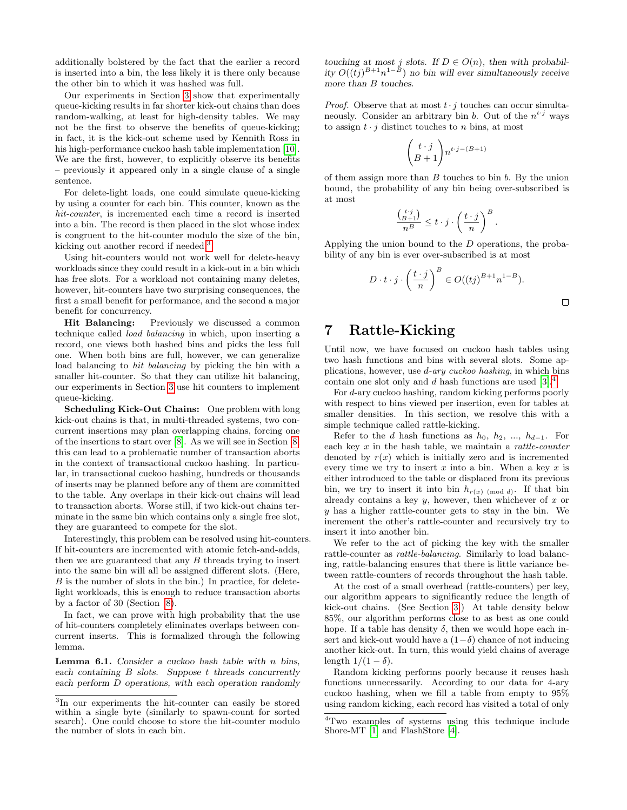additionally bolstered by the fact that the earlier a record is inserted into a bin, the less likely it is there only because the other bin to which it was hashed was full.

Our experiments in Section [3](#page-2-2) show that experimentally queue-kicking results in far shorter kick-out chains than does random-walking, at least for high-density tables. We may not be the first to observe the benefits of queue-kicking; in fact, it is the kick-out scheme used by Kennith Ross in his high-performance cuckoo hash table implementation [\[10\]](#page-7-2). We are the first, however, to explicitly observe its benefits – previously it appeared only in a single clause of a single sentence.

For delete-light loads, one could simulate queue-kicking by using a counter for each bin. This counter, known as the hit-counter, is incremented each time a record is inserted into a bin. The record is then placed in the slot whose index is congruent to the hit-counter modulo the size of the bin, kicking out another record if needed.<sup>[3](#page-4-1)</sup>

Using hit-counters would not work well for delete-heavy workloads since they could result in a kick-out in a bin which has free slots. For a workload not containing many deletes, however, hit-counters have two surprising consequences, the first a small benefit for performance, and the second a major benefit for concurrency.

Hit Balancing: Previously we discussed a common technique called load balancing in which, upon inserting a record, one views both hashed bins and picks the less full one. When both bins are full, however, we can generalize load balancing to hit balancing by picking the bin with a smaller hit-counter. So that they can utilize hit balancing, our experiments in Section [3](#page-2-2) use hit counters to implement queue-kicking.

Scheduling Kick-Out Chains: One problem with long kick-out chains is that, in multi-threaded systems, two concurrent insertions may plan overlapping chains, forcing one of the insertions to start over [\[8\]](#page-7-4). As we will see in Section [8,](#page-5-0) this can lead to a problematic number of transaction aborts in the context of transactional cuckoo hashing. In particular, in transactional cuckoo hashing, hundreds or thousands of inserts may be planned before any of them are committed to the table. Any overlaps in their kick-out chains will lead to transaction aborts. Worse still, if two kick-out chains terminate in the same bin which contains only a single free slot, they are guaranteed to compete for the slot.

Interestingly, this problem can be resolved using hit-counters. If hit-counters are incremented with atomic fetch-and-adds, then we are guaranteed that any  $B$  threads trying to insert into the same bin will all be assigned different slots. (Here,  $B$  is the number of slots in the bin.) In practice, for deletelight workloads, this is enough to reduce transaction aborts by a factor of 30 (Section [8\)](#page-5-0).

In fact, we can prove with high probability that the use of hit-counters completely eliminates overlaps between concurrent inserts. This is formalized through the following lemma.

<span id="page-4-3"></span>**Lemma 6.1.** Consider a cuckoo hash table with  $n$  bins, each containing  $B$  slots. Suppose  $t$  threads concurrently each perform D operations, with each operation randomly

touching at most j slots. If  $D \in O(n)$ , then with probability  $O((tj)^{B+1}n^{1-B})$  no bin will ever simultaneously receive more than B touches.

*Proof.* Observe that at most  $t \cdot j$  touches can occur simultaneously. Consider an arbitrary bin b. Out of the  $n^{t \cdot j}$  ways to assign  $t \cdot i$  distinct touches to n bins, at most

$$
\binom{t \cdot j}{B+1} n^{t \cdot j - (B+1)}
$$

of them assign more than  $B$  touches to bin  $b$ . By the union bound, the probability of any bin being over-subscribed is at most

$$
\frac{\binom{t \cdot j}{B+1}}{n^B} \le t \cdot j \cdot \left(\frac{t \cdot j}{n}\right)^B.
$$

Applying the union bound to the D operations, the probability of any bin is ever over-subscribed is at most

$$
D \cdot t \cdot j \cdot \left(\frac{t \cdot j}{n}\right)^B \in O((tj)^{B+1} n^{1-B}).
$$

 $\Box$ 

### <span id="page-4-0"></span>7 Rattle-Kicking

Until now, we have focused on cuckoo hash tables using two hash functions and bins with several slots. Some applications, however, use d-ary cuckoo hashing, in which bins contain one slot only and d hash functions are used  $[3].<sup>4</sup>$  $[3].<sup>4</sup>$  $[3].<sup>4</sup>$  $[3].<sup>4</sup>$ 

For d-ary cuckoo hashing, random kicking performs poorly with respect to bins viewed per insertion, even for tables at smaller densities. In this section, we resolve this with a simple technique called rattle-kicking.

Refer to the d hash functions as  $h_0$ ,  $h_2$ , ...,  $h_{d-1}$ . For each key  $x$  in the hash table, we maintain a *rattle-counter* denoted by  $r(x)$  which is initially zero and is incremented every time we try to insert  $x$  into a bin. When a key  $x$  is either introduced to the table or displaced from its previous bin, we try to insert it into bin  $h_{r(x) \pmod{d}}$ . If that bin already contains a key  $y$ , however, then whichever of  $x$  or y has a higher rattle-counter gets to stay in the bin. We increment the other's rattle-counter and recursively try to insert it into another bin.

We refer to the act of picking the key with the smaller rattle-counter as rattle-balancing. Similarly to load balancing, rattle-balancing ensures that there is little variance between rattle-counters of records throughout the hash table.

At the cost of a small overhead (rattle-counters) per key, our algorithm appears to significantly reduce the length of kick-out chains. (See Section [3.](#page-2-2)) At table density below 85%, our algorithm performs close to as best as one could hope. If a table has density  $\delta$ , then we would hope each insert and kick-out would have a  $(1-\delta)$  chance of not inducing another kick-out. In turn, this would yield chains of average length  $1/(1 - \delta)$ .

Random kicking performs poorly because it reuses hash functions unnecessarily. According to our data for 4-ary cuckoo hashing, when we fill a table from empty to 95% using random kicking, each record has visited a total of only

<span id="page-4-1"></span><sup>3</sup> In our experiments the hit-counter can easily be stored within a single byte (similarly to spawn-count for sorted search). One could choose to store the hit-counter modulo the number of slots in each bin.

<span id="page-4-2"></span><sup>4</sup>Two examples of systems using this technique include Shore-MT [\[1\]](#page-7-1) and FlashStore [\[4\]](#page-7-10).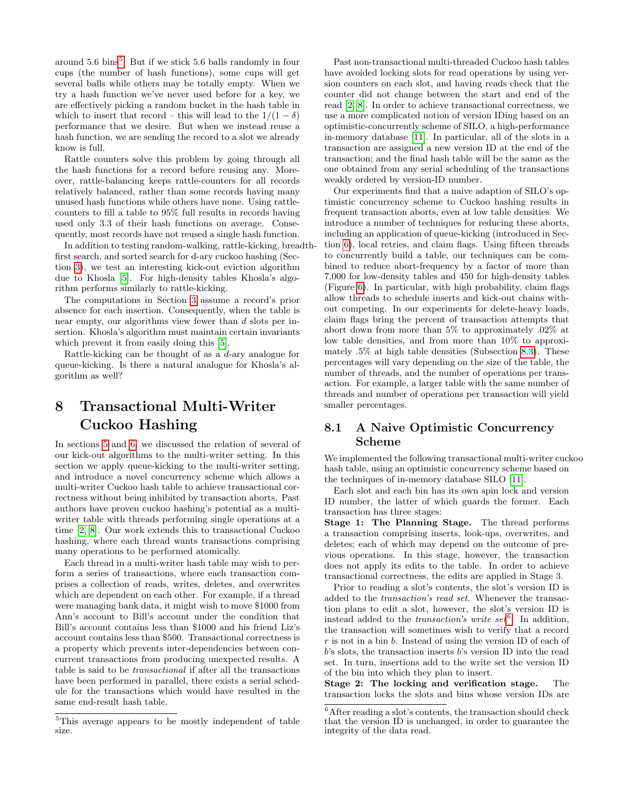around  $5.6 \text{ bins}^5$  $5.6 \text{ bins}^5$ . But if we stick  $5.6$  balls randomly in four cups (the number of hash functions), some cups will get several balls while others may be totally empty. When we try a hash function we've never used before for a key, we are effectively picking a random bucket in the hash table in which to insert that record – this will lead to the  $1/(1 - \delta)$ performance that we desire. But when we instead reuse a hash function, we are sending the record to a slot we already know is full.

Rattle counters solve this problem by going through all the hash functions for a record before reusing any. Moreover, rattle-balancing keeps rattle-counters for all records relatively balanced, rather than some records having many unused hash functions while others have none. Using rattlecounters to fill a table to 95% full results in records having used only 3.3 of their hash functions on average. Consequently, most records have not reused a single hash function.

In addition to testing random-walking, rattle-kicking, breadthfirst search, and sorted search for d-ary cuckoo hashing (Section [3\)](#page-2-2), we test an interesting kick-out eviction algorithm due to Khosla [\[5\]](#page-7-6). For high-density tables Khosla's algorithm performs similarly to rattle-kicking.

The computations in Section [3](#page-2-2) assume a record's prior absence for each insertion. Consequently, when the table is near empty, our algorithms view fewer than d slots per insertion. Khosla's algorithm must maintain certain invariants which prevent it from easily doing this  $[5]$ .

Rattle-kicking can be thought of as a d-ary analogue for queue-kicking. Is there a natural analogue for Khosla's algorithm as well?

# <span id="page-5-0"></span>8 Transactional Multi-Writer Cuckoo Hashing

In sections [5](#page-2-1) and [6,](#page-3-0) we discussed the relation of several of our kick-out algorithms to the multi-writer setting. In this section we apply queue-kicking to the multi-writer setting, and introduce a novel concurrency scheme which allows a multi-writer Cuckoo hash table to achieve transactional correctness without being inhibited by transaction aborts. Past authors have proven cuckoo hashing's potential as a multiwriter table with threads performing single operations at a time [\[2,](#page-7-3) [8\]](#page-7-4). Our work extends this to transactional Cuckoo hashing, where each thread wants transactions comprising many operations to be performed atomically.

Each thread in a multi-writer hash table may wish to perform a series of transactions, where each transaction comprises a collection of reads, writes, deletes, and overwrites which are dependent on each other. For example, if a thread were managing bank data, it might wish to move \$1000 from Ann's account to Bill's account under the condition that Bill's account contains less than \$1000 and his friend Liz's account contains less than \$500. Transactional correctness is a property which prevents inter-dependencies between concurrent transactions from producing unexpected results. A table is said to be transactional if after all the transactions have been performed in parallel, there exists a serial schedule for the transactions which would have resulted in the same end-result hash table.

Past non-transactional multi-threaded Cuckoo hash tables have avoided locking slots for read operations by using version counters on each slot, and having reads check that the counter did not change between the start and end of the read [\[2,](#page-7-3) [8\]](#page-7-4). In order to achieve transactional correctness, we use a more complicated notion of version IDing based on an optimistic-concurrently scheme of SILO, a high-performance in-memory database [\[11\]](#page-7-11). In particular, all of the slots in a transaction are assigned a new version ID at the end of the transaction; and the final hash table will be the same as the one obtained from any serial scheduling of the transactions weakly ordered by version-ID number.

Our experiments find that a naive adaption of SILO's optimistic concurrency scheme to Cuckoo hashing results in frequent transaction aborts, even at low table densities. We introduce a number of techniques for reducing these aborts, including an application of queue-kicking (introduced in Section [6\)](#page-3-0), local retries, and claim flags. Using fifteen threads to concurrently build a table, our techniques can be combined to reduce abort-frequency by a factor of more than 7,000 for low-density tables and 450 for high-density tables (Figure [6\)](#page-8-4). In particular, with high probability, claim flags allow threads to schedule inserts and kick-out chains without competing. In our experiments for delete-heavy loads, claim flags bring the percent of transaction attempts that abort down from more than 5% to approximately .02% at low table densities, and from more than 10% to approximately .5% at high table densities (Subsection [8.3\)](#page-6-0). These percentages will vary depending on the size of the table, the number of threads, and the number of operations per transaction. For example, a larger table with the same number of threads and number of operations per transaction will yield smaller percentages.

#### 8.1 A Naive Optimistic Concurrency Scheme

We implemented the following transactional multi-writer cuckoo hash table, using an optimistic concurrency scheme based on the techniques of in-memory database SILO [\[11\]](#page-7-11).

Each slot and each bin has its own spin lock and version ID number, the latter of which guards the former. Each transaction has three stages:

Stage 1: The Planning Stage. The thread performs a transaction comprising inserts, look-ups, overwrites, and deletes; each of which may depend on the outcome of previous operations. In this stage, however, the transaction does not apply its edits to the table. In order to achieve transactional correctness, the edits are applied in Stage 3.

Prior to reading a slot's contents, the slot's version ID is added to the transaction's read set. Whenever the transaction plans to edit a slot, however, the slot's version ID is instead added to the *transaction's write set*<sup>[6](#page-5-2)</sup>. In addition, the transaction will sometimes wish to verify that a record  $r$  is not in a bin  $b$ . Instead of using the version ID of each of b's slots, the transaction inserts b's version ID into the read set. In turn, insertions add to the write set the version ID of the bin into which they plan to insert.

Stage 2: The locking and verification stage. The transaction locks the slots and bins whose version IDs are

<span id="page-5-1"></span><sup>5</sup>This average appears to be mostly independent of table size.

<span id="page-5-2"></span> $^6\mbox{After reading a slot's contents, the transaction should check}$ that the version ID is unchanged, in order to guarantee the integrity of the data read.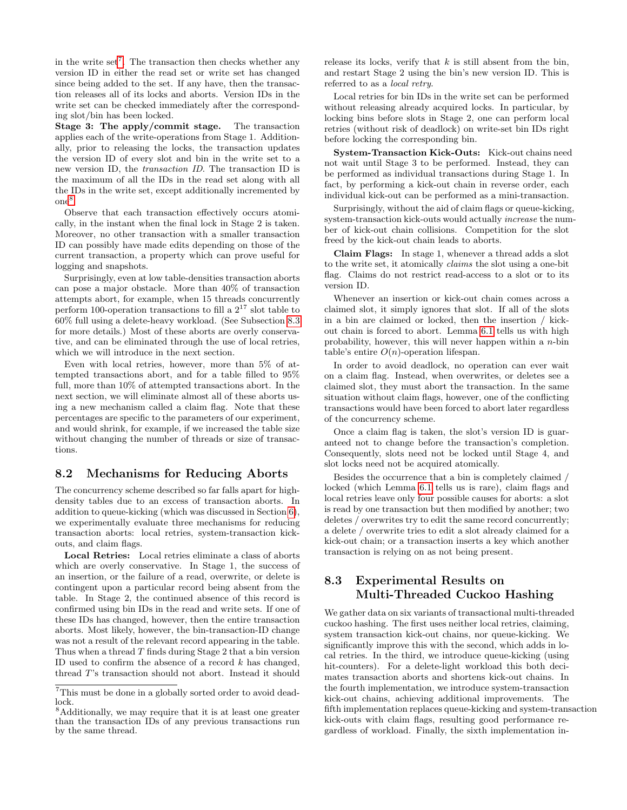in the write  $set^7$  $set^7$ . The transaction then checks whether any version ID in either the read set or write set has changed since being added to the set. If any have, then the transaction releases all of its locks and aborts. Version IDs in the write set can be checked immediately after the corresponding slot/bin has been locked.

Stage 3: The apply/commit stage. The transaction applies each of the write-operations from Stage 1. Additionally, prior to releasing the locks, the transaction updates the version ID of every slot and bin in the write set to a new version ID, the transaction ID. The transaction ID is the maximum of all the IDs in the read set along with all the IDs in the write set, except additionally incremented by one[8](#page-6-2) .

Observe that each transaction effectively occurs atomically, in the instant when the final lock in Stage 2 is taken. Moreover, no other transaction with a smaller transaction ID can possibly have made edits depending on those of the current transaction, a property which can prove useful for logging and snapshots.

Surprisingly, even at low table-densities transaction aborts can pose a major obstacle. More than 40% of transaction attempts abort, for example, when 15 threads concurrently perform 100-operation transactions to fill a  $2^{17}$  slot table to 60% full using a delete-heavy workload. (See Subsection [8.3](#page-6-0) for more details.) Most of these aborts are overly conservative, and can be eliminated through the use of local retries, which we will introduce in the next section.

Even with local retries, however, more than 5% of attempted transactions abort, and for a table filled to 95% full, more than 10% of attempted transactions abort. In the next section, we will eliminate almost all of these aborts using a new mechanism called a claim flag. Note that these percentages are specific to the parameters of our experiment, and would shrink, for example, if we increased the table size without changing the number of threads or size of transactions.

#### 8.2 Mechanisms for Reducing Aborts

The concurrency scheme described so far falls apart for highdensity tables due to an excess of transaction aborts. In addition to queue-kicking (which was discussed in Section [6\)](#page-3-0), we experimentally evaluate three mechanisms for reducing transaction aborts: local retries, system-transaction kickouts, and claim flags.

Local Retries: Local retries eliminate a class of aborts which are overly conservative. In Stage 1, the success of an insertion, or the failure of a read, overwrite, or delete is contingent upon a particular record being absent from the table. In Stage 2, the continued absence of this record is confirmed using bin IDs in the read and write sets. If one of these IDs has changed, however, then the entire transaction aborts. Most likely, however, the bin-transaction-ID change was not a result of the relevant record appearing in the table. Thus when a thread  $T$  finds during Stage 2 that a bin version ID used to confirm the absence of a record  $k$  has changed, thread T's transaction should not abort. Instead it should release its locks, verify that  $k$  is still absent from the bin, and restart Stage 2 using the bin's new version ID. This is referred to as a local retry.

Local retries for bin IDs in the write set can be performed without releasing already acquired locks. In particular, by locking bins before slots in Stage 2, one can perform local retries (without risk of deadlock) on write-set bin IDs right before locking the corresponding bin.

System-Transaction Kick-Outs: Kick-out chains need not wait until Stage 3 to be performed. Instead, they can be performed as individual transactions during Stage 1. In fact, by performing a kick-out chain in reverse order, each individual kick-out can be performed as a mini-transaction.

Surprisingly, without the aid of claim flags or queue-kicking, system-transaction kick-outs would actually increase the number of kick-out chain collisions. Competition for the slot freed by the kick-out chain leads to aborts.

Claim Flags: In stage 1, whenever a thread adds a slot to the write set, it atomically claims the slot using a one-bit flag. Claims do not restrict read-access to a slot or to its version ID.

Whenever an insertion or kick-out chain comes across a claimed slot, it simply ignores that slot. If all of the slots in a bin are claimed or locked, then the insertion / kickout chain is forced to abort. Lemma [6.1](#page-4-3) tells us with high probability, however, this will never happen within a n-bin table's entire  $O(n)$ -operation lifespan.

In order to avoid deadlock, no operation can ever wait on a claim flag. Instead, when overwrites, or deletes see a claimed slot, they must abort the transaction. In the same situation without claim flags, however, one of the conflicting transactions would have been forced to abort later regardless of the concurrency scheme.

Once a claim flag is taken, the slot's version ID is guaranteed not to change before the transaction's completion. Consequently, slots need not be locked until Stage 4, and slot locks need not be acquired atomically.

Besides the occurrence that a bin is completely claimed / locked (which Lemma [6.1](#page-4-3) tells us is rare), claim flags and local retries leave only four possible causes for aborts: a slot is read by one transaction but then modified by another; two deletes / overwrites try to edit the same record concurrently; a delete / overwrite tries to edit a slot already claimed for a kick-out chain; or a transaction inserts a key which another transaction is relying on as not being present.

#### <span id="page-6-0"></span>8.3 Experimental Results on Multi-Threaded Cuckoo Hashing

We gather data on six variants of transactional multi-threaded cuckoo hashing. The first uses neither local retries, claiming, system transaction kick-out chains, nor queue-kicking. We significantly improve this with the second, which adds in local retries. In the third, we introduce queue-kicking (using hit-counters). For a delete-light workload this both decimates transaction aborts and shortens kick-out chains. In the fourth implementation, we introduce system-transaction kick-out chains, achieving additional improvements. The fifth implementation replaces queue-kicking and system-transaction kick-outs with claim flags, resulting good performance regardless of workload. Finally, the sixth implementation in-

<span id="page-6-1"></span> ${\rm ^7This}$  must be done in a globally sorted order to avoid deadlock.

<span id="page-6-2"></span><sup>8</sup>Additionally, we may require that it is at least one greater than the transaction IDs of any previous transactions run by the same thread.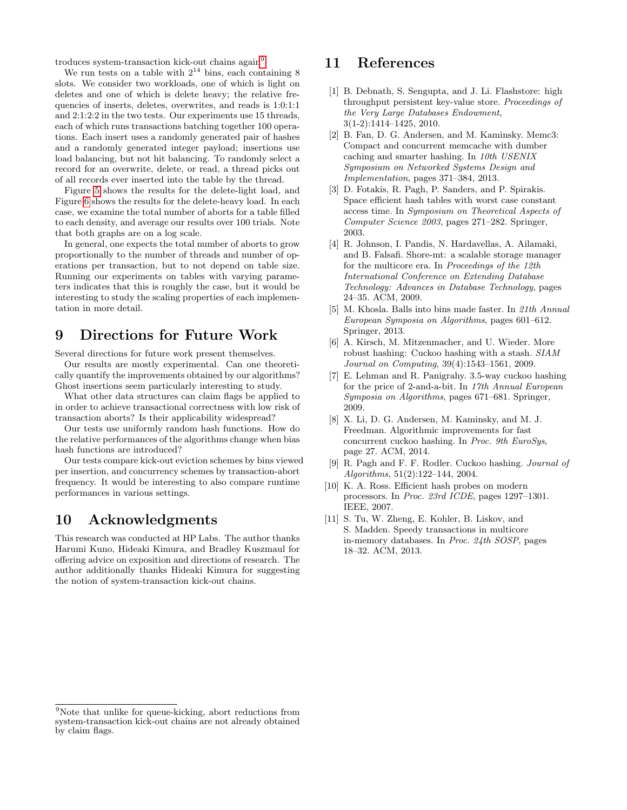troduces system-transaction kick-out chains again<sup>[9](#page-7-12)</sup>.

We run tests on a table with  $2^{14}$  bins, each containing 8 slots. We consider two workloads, one of which is light on deletes and one of which is delete heavy; the relative frequencies of inserts, deletes, overwrites, and reads is 1:0:1:1 and 2:1:2:2 in the two tests. Our experiments use 15 threads, each of which runs transactions batching together 100 operations. Each insert uses a randomly generated pair of hashes and a randomly generated integer payload; insertions use load balancing, but not hit balancing. To randomly select a record for an overwrite, delete, or read, a thread picks out of all records ever inserted into the table by the thread.

Figure [5](#page-8-5) shows the results for the delete-light load, and Figure [6](#page-8-4) shows the results for the delete-heavy load. In each case, we examine the total number of aborts for a table filled to each density, and average our results over 100 trials. Note that both graphs are on a log scale.

In general, one expects the total number of aborts to grow proportionally to the number of threads and number of operations per transaction, but to not depend on table size. Running our experiments on tables with varying parameters indicates that this is roughly the case, but it would be interesting to study the scaling properties of each implementation in more detail.

## <span id="page-7-7"></span>9 Directions for Future Work

Several directions for future work present themselves.

Our results are mostly experimental. Can one theoretically quantify the improvements obtained by our algorithms? Ghost insertions seem particularly interesting to study.

What other data structures can claim flags be applied to in order to achieve transactional correctness with low risk of transaction aborts? Is their applicability widespread?

Our tests use uniformly random hash functions. How do the relative performances of the algorithms change when bias hash functions are introduced?

Our tests compare kick-out eviction schemes by bins viewed per insertion, and concurrency schemes by transaction-abort frequency. It would be interesting to also compare runtime performances in various settings.

## 10 Acknowledgments

This research was conducted at HP Labs. The author thanks Harumi Kuno, Hideaki Kimura, and Bradley Kuszmaul for offering advice on exposition and directions of research. The author additionally thanks Hideaki Kimura for suggesting the notion of system-transaction kick-out chains.

#### 11 References

- <span id="page-7-1"></span>[1] B. Debnath, S. Sengupta, and J. Li. Flashstore: high throughput persistent key-value store. Proceedings of the Very Large Databases Endowment, 3(1-2):1414–1425, 2010.
- <span id="page-7-3"></span>[2] B. Fan, D. G. Andersen, and M. Kaminsky. Memc3: Compact and concurrent memcache with dumber caching and smarter hashing. In 10th USENIX Symposium on Networked Systems Design and Implementation, pages 371–384, 2013.
- <span id="page-7-5"></span>[3] D. Fotakis, R. Pagh, P. Sanders, and P. Spirakis. Space efficient hash tables with worst case constant access time. In Symposium on Theoretical Aspects of Computer Science 2003, pages 271–282. Springer, 2003.
- <span id="page-7-10"></span>[4] R. Johnson, I. Pandis, N. Hardavellas, A. Ailamaki, and B. Falsafi. Shore-mt: a scalable storage manager for the multicore era. In Proceedings of the 12th International Conference on Extending Database Technology: Advances in Database Technology, pages 24–35. ACM, 2009.
- <span id="page-7-6"></span>[5] M. Khosla. Balls into bins made faster. In 21th Annual European Symposia on Algorithms, pages 601–612. Springer, 2013.
- <span id="page-7-8"></span>[6] A. Kirsch, M. Mitzenmacher, and U. Wieder. More robust hashing: Cuckoo hashing with a stash. SIAM Journal on Computing, 39(4):1543–1561, 2009.
- <span id="page-7-9"></span>[7] E. Lehman and R. Panigrahy. 3.5-way cuckoo hashing for the price of 2-and-a-bit. In 17th Annual European Symposia on Algorithms, pages 671–681. Springer, 2009.
- <span id="page-7-4"></span>[8] X. Li, D. G. Andersen, M. Kaminsky, and M. J. Freedman. Algorithmic improvements for fast concurrent cuckoo hashing. In Proc. 9th EuroSys, page 27. ACM, 2014.
- <span id="page-7-0"></span>[9] R. Pagh and F. F. Rodler. Cuckoo hashing. Journal of Algorithms, 51(2):122–144, 2004.
- <span id="page-7-2"></span>[10] K. A. Ross. Efficient hash probes on modern processors. In Proc. 23rd ICDE, pages 1297–1301. IEEE, 2007.
- <span id="page-7-11"></span>[11] S. Tu, W. Zheng, E. Kohler, B. Liskov, and S. Madden. Speedy transactions in multicore in-memory databases. In Proc. 24th SOSP, pages 18–32. ACM, 2013.

<span id="page-7-12"></span> $9$ Note that unlike for queue-kicking, abort reductions from system-transaction kick-out chains are not already obtained by claim flags.